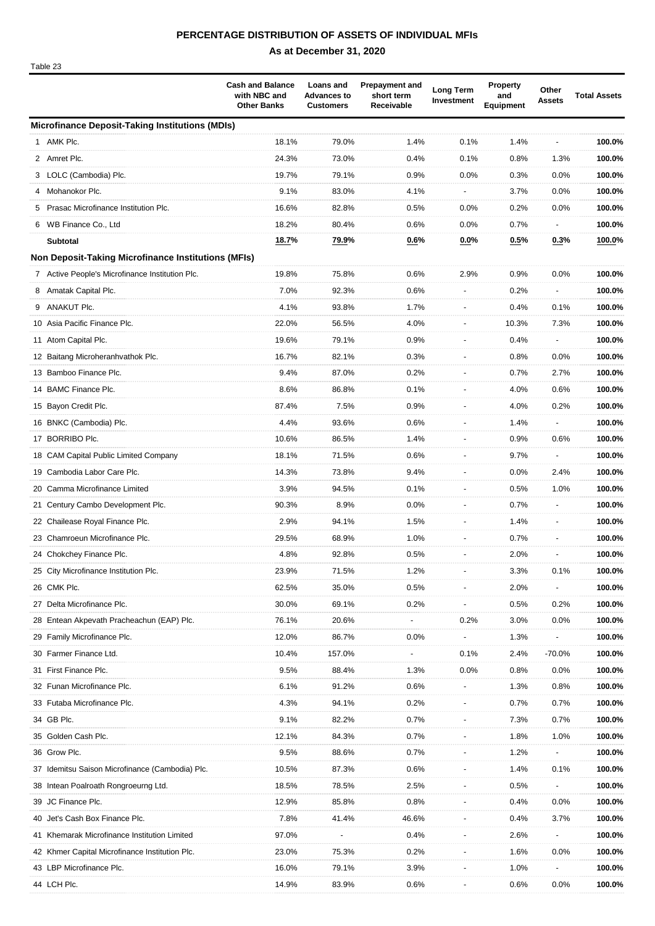# **PERCENTAGE DISTRIBUTION OF ASSETS OF INDIVIDUAL MFIs**

Table 23

|   |                                                            | <b>Cash and Balance</b><br>with NBC and<br><b>Other Banks</b> | <b>Loans and</b><br><b>Advances to</b><br><b>Customers</b> | <b>Prepayment and</b><br>short term<br>Receivable | <b>Long Term</b><br>Investment | <b>Property</b><br>and<br><b>Equipment</b> | Other<br><b>Assets</b> | <b>Total Assets</b> |
|---|------------------------------------------------------------|---------------------------------------------------------------|------------------------------------------------------------|---------------------------------------------------|--------------------------------|--------------------------------------------|------------------------|---------------------|
|   | <b>Microfinance Deposit-Taking Institutions (MDIs)</b>     |                                                               |                                                            |                                                   |                                |                                            |                        |                     |
|   | 1 AMK Plc.                                                 | 18.1%                                                         | 79.0%                                                      | 1.4%                                              | 0.1%                           | 1.4%                                       |                        | 100.0%              |
|   | 2 Amret Plc.                                               | 24.3%                                                         | 73.0%                                                      | 0.4%                                              | 0.1%                           | 0.8%                                       | 1.3%                   | 100.0%              |
|   | 3 LOLC (Cambodia) Plc.                                     | 19.7%                                                         | 79.1%                                                      | 0.9%                                              | 0.0%                           | 0.3%                                       | 0.0%                   | 100.0%              |
|   | 4 Mohanokor Plc.                                           | 9.1%                                                          | 83.0%                                                      | 4.1%                                              |                                | 3.7%                                       | 0.0%                   | 100.0%              |
|   | 5 Prasac Microfinance Institution Plc.                     | 16.6%                                                         | 82.8%                                                      | 0.5%                                              | 0.0%                           | 0.2%                                       | 0.0%                   | 100.0%              |
|   | 6 WB Finance Co., Ltd                                      | 18.2%                                                         | 80.4%                                                      | 0.6%                                              | 0.0%                           | 0.7%                                       |                        | 100.0%              |
|   | <b>Subtotal</b>                                            | 18.7%                                                         | 79.9%                                                      | 0.6%                                              | $0.0\%$                        | 0.5%                                       | 0.3%                   | 100.0%              |
|   | <b>Non Deposit-Taking Microfinance Institutions (MFIs)</b> |                                                               |                                                            |                                                   |                                |                                            |                        |                     |
|   | 7 Active People's Microfinance Institution Plc.            | 19.8%                                                         | 75.8%                                                      | 0.6%                                              | 2.9%                           | 0.9%                                       | 0.0%                   | 100.0%              |
| 8 | Amatak Capital Plc.                                        | 7.0%                                                          | 92.3%                                                      | 0.6%                                              |                                | 0.2%                                       |                        | 100.0%              |
|   | 9 ANAKUT Plc.                                              | 4.1%                                                          | 93.8%                                                      | 1.7%                                              |                                | 0.4%                                       | 0.1%                   | 100.0%              |
|   | 10 Asia Pacific Finance Plc.                               | 22.0%                                                         | 56.5%                                                      | 4.0%                                              |                                | 10.3%                                      | 7.3%                   | 100.0%              |
|   | 11 Atom Capital Plc.                                       | 19.6%                                                         | 79.1%                                                      | 0.9%                                              |                                | 0.4%                                       |                        | 100.0%              |
|   | 12 Baitang Microheranhvathok Plc.                          | 16.7%                                                         | 82.1%                                                      | 0.3%                                              |                                | 0.8%                                       | 0.0%                   | 100.0%              |
|   | 13 Bamboo Finance Plc.                                     | 9.4%                                                          | 87.0%                                                      | 0.2%                                              |                                | 0.7%                                       | 2.7%                   | 100.0%              |
|   | 14 BAMC Finance Plc.                                       | 8.6%                                                          | 86.8%                                                      | 0.1%                                              |                                | 4.0%                                       | 0.6%                   | 100.0%              |
|   | 15 Bayon Credit Plc.                                       | 87.4%                                                         | 7.5%                                                       | 0.9%                                              |                                | 4.0%                                       | 0.2%                   | 100.0%              |
|   | 16 BNKC (Cambodia) Plc.                                    | 4.4%                                                          | 93.6%                                                      | 0.6%                                              |                                | 1.4%                                       |                        | 100.0%              |
|   | 17 BORRIBO Plc.                                            | 10.6%                                                         | 86.5%                                                      | 1.4%                                              |                                | 0.9%                                       | 0.6%                   | 100.0%              |
|   | 18 CAM Capital Public Limited Company                      | 18.1%                                                         | 71.5%                                                      | 0.6%                                              |                                | 9.7%                                       |                        | 100.0%              |
|   | 19 Cambodia Labor Care Plc.                                | 14.3%                                                         | 73.8%                                                      | 9.4%                                              |                                | 0.0%                                       | 2.4%                   | 100.0%              |
|   | 20 Camma Microfinance Limited                              | 3.9%                                                          | 94.5%                                                      | 0.1%                                              |                                | 0.5%                                       | 1.0%                   | 100.0%              |
|   | 21 Century Cambo Development Plc.                          | 90.3%                                                         | 8.9%                                                       | 0.0%                                              |                                | 0.7%                                       |                        | 100.0%              |
|   | 22 Chailease Royal Finance Plc.                            | 2.9%                                                          | 94.1%                                                      | 1.5%                                              |                                | 1.4%                                       |                        | 100.0%              |
|   | 23 Chamroeun Microfinance Plc.                             | 29.5%                                                         | 68.9%                                                      | 1.0%                                              |                                | 0.7%                                       |                        | 100.0%              |
|   | 24 Chokchey Finance Plc.                                   | 4.8%                                                          | 92.8%                                                      | 0.5%                                              |                                | 2.0%                                       |                        | 100.0%              |
|   | 25 City Microfinance Institution Plc.                      | 23.9%                                                         | 71.5%                                                      | 1.2%                                              |                                | 3.3%                                       | 0.1%                   | 100.0%              |
|   | 26 CMK Plc.                                                | 62.5%                                                         | 35.0%                                                      | 0.5%                                              |                                | 2.0%                                       |                        | 100.0%              |
|   | 27 Delta Microfinance Plc.                                 | 30.0%                                                         | 69.1%                                                      | 0.2%                                              |                                | 0.5%                                       | 0.2%                   | 100.0%              |
|   | 28 Entean Akpevath Pracheachun (EAP) Plc.                  | 76.1%                                                         | 20.6%                                                      |                                                   | 0.2%                           | 3.0%                                       | 0.0%                   | 100.0%              |
|   | 29 Family Microfinance Plc.                                | 12.0%                                                         | 86.7%                                                      | 0.0%                                              |                                | 1.3%                                       |                        | 100.0%              |
|   | 30 Farmer Finance Ltd.                                     | 10.4%                                                         | 157.0%                                                     |                                                   | 0.1%                           | 2.4%                                       | -70.0%                 | 100.0%              |
|   | 31 First Finance Plc.                                      | 9.5%                                                          | 88.4%                                                      | 1.3%                                              | 0.0%                           | 0.8%                                       | 0.0%                   | 100.0%              |
|   | 32 Funan Microfinance Plc.                                 | 6.1%                                                          | 91.2%                                                      | 0.6%                                              |                                | 1.3%                                       | 0.8%                   | 100.0%              |
|   | 33 Futaba Microfinance Plc.                                | 4.3%                                                          | 94.1%                                                      | 0.2%                                              |                                | 0.7%                                       | 0.7%                   | 100.0%              |
|   | 34 GB Plc.                                                 | 9.1%                                                          | 82.2%                                                      | 0.7%                                              |                                | 7.3%                                       | 0.7%                   | 100.0%              |
|   | 35 Golden Cash Plc.                                        | 12.1%                                                         | 84.3%                                                      | 0.7%                                              |                                | 1.8%                                       | 1.0%                   | 100.0%              |
|   | 36 Grow Plc.                                               | 9.5%                                                          | 88.6%                                                      | 0.7%                                              |                                | 1.2%                                       |                        | 100.0%              |
|   | 37 Idemitsu Saison Microfinance (Cambodia) Plc.            | 10.5%                                                         | 87.3%                                                      | 0.6%                                              |                                | 1.4%                                       | 0.1%                   | 100.0%              |
|   | 38 Intean Poalroath Rongroeurng Ltd.                       | 18.5%                                                         | 78.5%                                                      | 2.5%                                              |                                | 0.5%                                       |                        | 100.0%              |
|   | 39 JC Finance Plc.                                         | 12.9%                                                         | 85.8%                                                      | 0.8%                                              |                                | 0.4%                                       | 0.0%                   | 100.0%              |
|   | 40 Jet's Cash Box Finance Plc.                             | 7.8%                                                          | 41.4%                                                      | 46.6%                                             |                                | 0.4%                                       | 3.7%                   | 100.0%              |
|   | 41 Khemarak Microfinance Institution Limited               | 97.0%                                                         |                                                            | 0.4%                                              |                                | 2.6%                                       |                        | 100.0%              |
|   | 42 Khmer Capital Microfinance Institution Plc.             | 23.0%                                                         | 75.3%                                                      | 0.2%                                              |                                | 1.6%                                       | 0.0%                   | 100.0%              |
|   | 43 LBP Microfinance Plc.                                   | 16.0%                                                         | 79.1%                                                      | 3.9%                                              |                                | 1.0%                                       |                        | 100.0%              |
|   | 44 LCH Plc.                                                | 14.9%                                                         | 83.9%                                                      | 0.6%                                              |                                | 0.6%                                       | 0.0%                   | 100.0%              |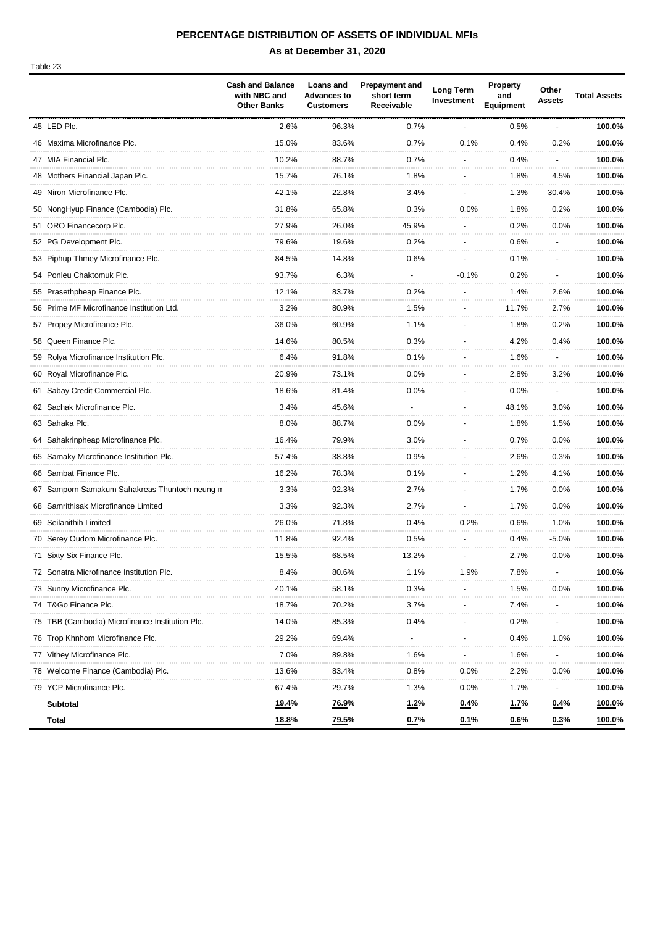## **PERCENTAGE DISTRIBUTION OF ASSETS OF INDIVIDUAL MFIs**

Table 23

|                                                 | <b>Cash and Balance</b><br>with NBC and<br><b>Other Banks</b> | Loans and<br><b>Advances to</b><br><b>Customers</b> | <b>Prepayment and</b><br>short term<br>Receivable | Long Term<br>Investment | Property<br>and<br>Equipment | Other<br><b>Assets</b> | <b>Total Assets</b> |
|-------------------------------------------------|---------------------------------------------------------------|-----------------------------------------------------|---------------------------------------------------|-------------------------|------------------------------|------------------------|---------------------|
| 45 LED Plc.                                     | 2.6%                                                          | 96.3%                                               | 0.7%                                              |                         | 0.5%                         |                        | 100.0%              |
| 46 Maxima Microfinance Plc.                     | 15.0%                                                         | 83.6%                                               | 0.7%                                              | 0.1%                    | 0.4%                         | 0.2%                   | 100.0%              |
| 47 MIA Financial Plc.                           | 10.2%                                                         | 88.7%                                               | 0.7%                                              |                         | 0.4%                         |                        | 100.0%              |
| 48 Mothers Financial Japan Plc.                 | 15.7%                                                         | 76.1%                                               | 1.8%                                              |                         | 1.8%                         | 4.5%                   | 100.0%              |
| 49 Niron Microfinance Plc.                      | 42.1%                                                         | 22.8%                                               | 3.4%                                              |                         | 1.3%                         | 30.4%                  | 100.0%              |
| 50 NongHyup Finance (Cambodia) Plc.             | 31.8%                                                         | 65.8%                                               | 0.3%                                              | 0.0%                    | 1.8%                         | 0.2%                   | 100.0%              |
| 51 ORO Financecorp Plc.                         | 27.9%                                                         | 26.0%                                               | 45.9%                                             |                         | 0.2%                         | 0.0%                   | 100.0%              |
| 52 PG Development Plc.                          | 79.6%                                                         | 19.6%                                               | 0.2%                                              |                         | 0.6%                         |                        | 100.0%              |
| 53 Piphup Thmey Microfinance Plc.               | 84.5%                                                         | 14.8%                                               | 0.6%                                              |                         | 0.1%                         |                        | 100.0%              |
| 54 Ponleu Chaktomuk Plc.                        | 93.7%                                                         | 6.3%                                                |                                                   | $-0.1%$                 | 0.2%                         |                        | 100.0%              |
| 55 Prasethpheap Finance Plc.                    | 12.1%                                                         | 83.7%                                               | 0.2%                                              |                         | 1.4%                         | 2.6%                   | 100.0%              |
| 56 Prime MF Microfinance Institution Ltd.       | 3.2%                                                          | 80.9%                                               | 1.5%                                              |                         | 11.7%                        | 2.7%                   | 100.0%              |
| 57 Propey Microfinance Plc.                     | 36.0%                                                         | 60.9%                                               | 1.1%                                              |                         | 1.8%                         | 0.2%                   | 100.0%              |
| 58 Queen Finance Plc.                           | 14.6%                                                         | 80.5%                                               | 0.3%                                              |                         | 4.2%                         | 0.4%                   | 100.0%              |
| 59 Rolya Microfinance Institution Plc.          | 6.4%                                                          | 91.8%                                               | 0.1%                                              |                         | 1.6%                         |                        | 100.0%              |
| 60 Royal Microfinance Plc.                      | 20.9%                                                         | 73.1%                                               | 0.0%                                              |                         | 2.8%                         | 3.2%                   | 100.0%              |
| 61 Sabay Credit Commercial Plc.                 | 18.6%                                                         | 81.4%                                               | 0.0%                                              |                         | 0.0%                         |                        | 100.0%              |
| 62 Sachak Microfinance Plc.                     | 3.4%                                                          | 45.6%                                               |                                                   |                         | 48.1%                        | 3.0%                   | 100.0%              |
| 63 Sahaka Plc.                                  | 8.0%                                                          | 88.7%                                               | 0.0%                                              |                         | 1.8%                         | 1.5%                   | 100.0%              |
| 64 Sahakrinpheap Microfinance Plc.              | 16.4%                                                         | 79.9%                                               | 3.0%                                              |                         | 0.7%                         | 0.0%                   | 100.0%              |
| 65 Samaky Microfinance Institution Plc.         | 57.4%                                                         | 38.8%                                               | 0.9%                                              |                         | 2.6%                         | 0.3%                   | 100.0%              |
| 66 Sambat Finance Plc.                          | 16.2%                                                         | 78.3%                                               | 0.1%                                              |                         | 1.2%                         | 4.1%                   | 100.0%              |
| 67 Samporn Samakum Sahakreas Thuntoch neung n   | 3.3%                                                          | 92.3%                                               | 2.7%                                              |                         | 1.7%                         | 0.0%                   | 100.0%              |
| 68 Samrithisak Microfinance Limited             | 3.3%                                                          | 92.3%                                               | 2.7%                                              |                         | 1.7%                         | 0.0%                   | 100.0%              |
| 69 Seilanithih Limited                          | 26.0%                                                         | 71.8%                                               | 0.4%                                              | 0.2%                    | 0.6%                         | 1.0%                   | 100.0%              |
| 70 Serey Oudom Microfinance Plc.                | 11.8%                                                         | 92.4%                                               | 0.5%                                              |                         | 0.4%                         | $-5.0%$                | 100.0%              |
| 71 Sixty Six Finance Plc.                       | 15.5%                                                         | 68.5%                                               | 13.2%                                             |                         | 2.7%                         | 0.0%                   | 100.0%              |
| 72 Sonatra Microfinance Institution Plc.        | 8.4%                                                          | 80.6%                                               | 1.1%                                              | 1.9%                    | 7.8%                         |                        | 100.0%              |
| 73 Sunny Microfinance Plc.                      | 40.1%                                                         | 58.1%                                               | 0.3%                                              |                         | 1.5%                         | 0.0%                   | 100.0%              |
| 74 T&Go Finance Plc.                            | 18.7%                                                         | 70.2%                                               | 3.7%                                              |                         | 7.4%                         |                        | 100.0%              |
| 75 TBB (Cambodia) Microfinance Institution Plc. | 14.0%                                                         | 85.3%                                               | 0.4%                                              |                         | 0.2%                         |                        | 100.0%              |
| 76 Trop Khnhom Microfinance Plc.                | 29.2%                                                         | 69.4%                                               |                                                   |                         | 0.4%                         | 1.0%                   | 100.0%              |
| 77 Vithey Microfinance Plc.                     | 7.0%                                                          | 89.8%                                               | 1.6%                                              |                         | 1.6%                         |                        | 100.0%              |
| 78 Welcome Finance (Cambodia) Plc.              | 13.6%                                                         | 83.4%                                               | 0.8%                                              | 0.0%                    | 2.2%                         | 0.0%                   | 100.0%              |
| 79 YCP Microfinance Plc.                        | 67.4%                                                         | 29.7%                                               | 1.3%                                              | 0.0%                    | 1.7%                         |                        | 100.0%              |
| Subtotal                                        | 19.4%                                                         | 76.9%                                               | 1.2%                                              | $0.4\%$                 | <u>1.7%</u>                  | $0.4\%$                | 100.0%              |
| Total                                           | 18.8%                                                         | 79.5%                                               | 0.7%                                              | 0.1%                    | 0.6%                         | $0.3\%$                | 100.0%              |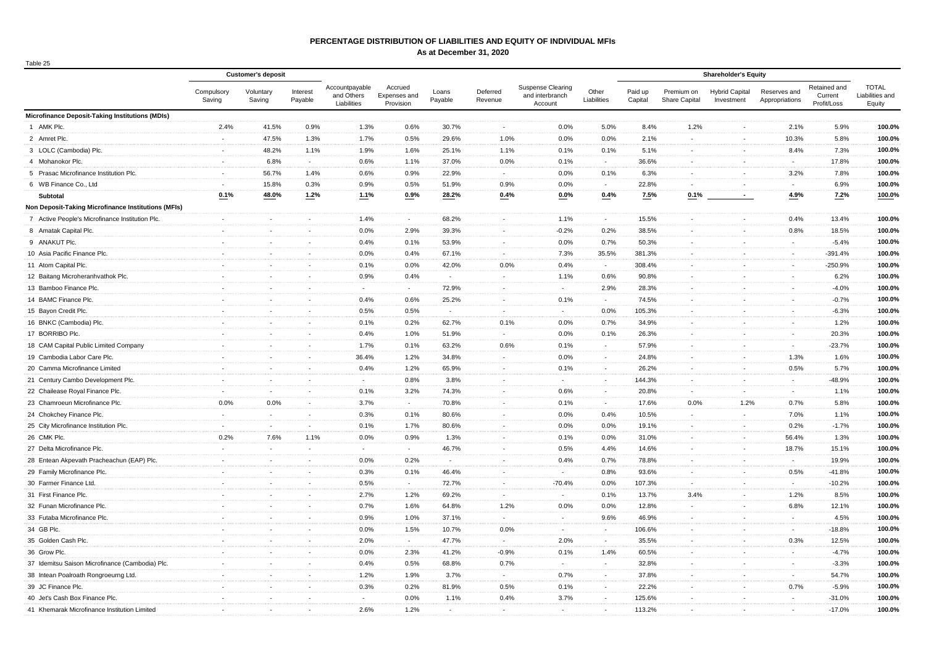### **PERCENTAGE DISTRIBUTION OF LIABILITIES AND EQUITY OF INDIVIDUAL MFIs**

| .<br>×<br>۰. |
|--------------|
|--------------|

|                                                        | <b>Customer's deposit</b> |                          |                          |                                             |                                      |                  |                          |                                                        |                          |                    |                             |                                     |                                |                                        |                                           |
|--------------------------------------------------------|---------------------------|--------------------------|--------------------------|---------------------------------------------|--------------------------------------|------------------|--------------------------|--------------------------------------------------------|--------------------------|--------------------|-----------------------------|-------------------------------------|--------------------------------|----------------------------------------|-------------------------------------------|
|                                                        | Compulsory<br>Saving      | Voluntary<br>Saving      | Interest<br>Payable      | Accountpayable<br>and Others<br>Liabilities | Accrued<br>Expenses and<br>Provision | Loans<br>Payable | Deferred<br>Revenue      | <b>Suspense Clearing</b><br>and interbranch<br>Account | Other<br>Liabilities     | Paid up<br>Capital | Premium on<br>Share Capital | <b>Hybrid Capital</b><br>Investment | Reserves and<br>Appropriations | Retained and<br>Current<br>Profit/Loss | <b>TOTAL</b><br>Liabilities and<br>Equity |
| <b>Microfinance Deposit-Taking Institutions (MDIs)</b> |                           |                          |                          |                                             |                                      |                  |                          |                                                        |                          |                    |                             |                                     |                                |                                        |                                           |
| 1 AMK Plc.                                             | 2.4%                      | 41.5%                    | 0.9%                     | 1.3%                                        | 0.6%                                 | 30.7%            | $\blacksquare$           | 0.0%                                                   | 5.0%                     | 8.4%               | 1.2%                        | $\sim$                              | 2.1%                           | 5.9%                                   | 100.0%                                    |
| 2 Amret Plc.                                           | $\sim$                    | 47.5%                    | 1.3%                     | 1.7%                                        | 0.5%                                 | 29.6%            | 1.0%                     | 0.0%                                                   | 0.0%                     | 2.1%               | $\sim$                      | $\sim$                              | 10.3%                          | 5.8%                                   | 100.0%                                    |
| 3 LOLC (Cambodia) Plc.                                 | $\sim$                    | 48.2%                    | 1.1%                     | 1.9%                                        | 1.6%                                 | 25.1%            | 1.1%                     | 0.1%                                                   | 0.1%                     | 5.1%               | $\sim$                      | $\sim$                              | 8.4%                           | 7.3%                                   | 100.0%                                    |
| 4 Mohanokor Plc.                                       | $\sim$                    | 6.8%                     | $\sim$                   | 0.6%                                        | 1.1%                                 | 37.0%            | 0.0%                     | 0.1%                                                   | $\sim$                   | 36.6%              | $\sim$                      | $\sim$                              | $\sim$                         | 17.8%                                  | 100.0%                                    |
| 5 Prasac Microfinance Institution Plc.                 | $\blacksquare$            | 56.7%                    | 1.4%                     | 0.6%                                        | 0.9%                                 | 22.9%            |                          | 0.0%                                                   | 0.1%                     | 6.3%               |                             | $\sim$                              | 3.2%                           | 7.8%                                   | 100.0%                                    |
| 6 WB Finance Co., Ltd                                  | $\sim$                    | 15.8%                    | 0.3%                     | 0.9%                                        | 0.5%                                 | 51.9%            | 0.9%                     | 0.0%                                                   | $\sim$                   | 22.8%              | $\sim$                      | $\overline{\phantom{a}}$            | $\sim$                         | 6.9%                                   | 100.0%                                    |
| Subtotal                                               | 0.1%                      | 48.0%                    | 1.2%                     | 1.1%                                        | 0.9%                                 | 28.2%            | 0.4%                     | $0.0\%$                                                | 0.4%                     | 7.5%               | 0.1%                        | $\sim$                              | 4.9%                           | 7.2%                                   | 100.0%                                    |
| Non Deposit-Taking Microfinance Institutions (MFIs)    |                           |                          |                          |                                             |                                      |                  |                          |                                                        |                          |                    |                             |                                     |                                |                                        |                                           |
| 7 Active People's Microfinance Institution Plc.        | $\sim$                    | $\sim$                   | $\sim$                   | 1.4%                                        | $\sim$                               | 68.2%            | $\blacksquare$           | 1.1%                                                   | $\sim$                   | 15.5%              | $\sim$                      | $\sim$                              | 0.4%                           | 13.4%                                  | 100.0%                                    |
| 8 Amatak Capital Plc.                                  | $\sim$                    | $\sim$                   | $\sim$                   | 0.0%                                        | 2.9%                                 | 39.3%            | $\blacksquare$           | $-0.2%$                                                | 0.2%                     | 38.5%              | $\sim$                      | $\sim$                              | 0.8%                           | 18.5%                                  | 100.0%                                    |
| 9 ANAKUT Plc.                                          | $\sim$                    | $\sim$                   | $\sim$                   | 0.4%                                        | 0.1%                                 | 53.9%            | $\sim$                   | 0.0%                                                   | 0.7%                     | 50.3%              | $\sim$                      | $\sim$                              | $\sim$                         | $-5.4%$                                | 100.0%                                    |
| 10 Asia Pacific Finance Plc.                           | $\sim$                    | $\sim$                   | $\sim$                   | 0.0%                                        | 0.4%                                 | 67.1%            | $\sim$                   | 7.3%                                                   | 35.5%                    | 381.3%             | $\sim$                      | $\sim$                              | $\sim$                         | $-391.4%$                              | 100.0%                                    |
| 11 Atom Capital Plc.                                   | $\blacksquare$            |                          | $\overline{\phantom{a}}$ | 0.1%                                        | 0.0%                                 | 42.0%            | 0.0%                     | 0.4%                                                   | $\sim$                   | 308.4%             |                             | $\overline{\phantom{a}}$            | ÷,                             | $-250.9%$                              | 100.0%                                    |
| 12 Baitang Microheranhvathok Plc.                      | $\mathbf{r}$              | $\sim$                   | $\sim$                   | 0.9%                                        | 0.4%                                 | $\sim$           | $\sim$                   | 1.1%                                                   | 0.6%                     | 90.8%              |                             | $\sim$                              | $\sim$                         | 6.2%                                   | 100.0%                                    |
| 13 Bamboo Finance Plc.                                 | $\sim$                    | $\sim$                   | $\sim$                   | $\sim$                                      | $\sim$                               | 72.9%            | $\sim$                   | $\sim$                                                 | 2.9%                     | 28.3%              | $\sim$                      | $\overline{\phantom{a}}$            | $\sim$                         | $-4.0%$                                | 100.0%                                    |
| 14 BAMC Finance Plc.                                   | $\sim$                    | $\sim$                   | $\sim$                   | 0.4%                                        | 0.6%                                 | 25.2%            | $\sim$                   | 0.1%                                                   | $\sim$                   | 74.5%              | $\sim$                      | $\sim$                              | $\sim$                         | $-0.7%$                                | 100.0%                                    |
| 15 Bayon Credit Plc.                                   | $\blacksquare$            | $\sim$                   | $\sim$                   | 0.5%                                        | 0.5%                                 | $\sim$           | $\blacksquare$           | $\sim$                                                 | 0.0%                     | 105.3%             | $\sim$                      | $\sim$                              | $\blacksquare$                 | $-6.3%$                                | 100.0%                                    |
| 16 BNKC (Cambodia) Plc.                                | $\sim$                    | $\sim$                   | $\sim$                   | 0.1%                                        | 0.2%                                 | 62.7%            | 0.1%                     | 0.0%                                                   | 0.7%                     | 34.9%              | $\sim$                      | $\sim$                              | $\blacksquare$                 | 1.2%                                   | 100.0%                                    |
| 17 BORRIBO Plc.                                        | $\sim$                    | $\sim$                   | $\sim$                   | 0.4%                                        | 1.0%                                 | 51.9%            | $\sim$                   | 0.0%                                                   | 0.1%                     | 26.3%              | $\sim$                      | $\sim$                              | $\sim$                         | 20.3%                                  | 100.0%                                    |
| 18 CAM Capital Public Limited Company                  | $\sim$                    | $\sim$                   | na.                      | 1.7%                                        | 0.1%                                 | 63.2%            | 0.6%                     | 0.1%                                                   | $\overline{\phantom{a}}$ | 57.9%              |                             | $\sim$                              | $\sim$                         | $-23.7%$                               | 100.0%                                    |
| 19 Cambodia Labor Care Plc.                            | $\sim$                    | $\sim$                   | $\sim$                   | 36.4%                                       | 1.2%                                 | 34.8%            | $\sim$                   | 0.0%                                                   | $\sim$                   | 24.8%              | $\sim$                      | $\sim$                              | 1.3%                           | 1.6%                                   | 100.0%                                    |
| 20 Camma Microfinance Limited                          | $\sim$                    |                          | $\sim$                   | 0.4%                                        | 1.2%                                 | 65.9%            |                          | 0.1%                                                   | $\sim$                   | 26.2%              |                             | $\sim$                              | 0.5%                           | 5.7%                                   | 100.0%                                    |
| 21 Century Cambo Development Plc.                      | $\sim$                    | $\sim$                   | $\sim$                   | $\sim$                                      | 0.8%                                 | 3.8%             | $\sim$                   | $\sim$                                                 | $\sim$                   | 144.3%             | $\sim$                      | $\sim$                              | $\sim$                         | -48.9%                                 | 100.0%                                    |
| 22 Chailease Royal Finance Plc.                        | $\sim$                    | $\sim$                   | $\sim$                   | 0.1%                                        | 3.2%                                 | 74.3%            | $\sim$                   | 0.6%                                                   | $\blacksquare$           | 20.8%              | $\sim$                      | $\sim$                              | $\sim$                         | 1.1%                                   | 100.0%                                    |
| 23 Chamroeun Microfinance Plc.                         | 0.0%                      | 0.0%                     | $\sim$                   | 3.7%                                        | $\sim$                               | 70.8%            | $\blacksquare$           | 0.1%                                                   | $\sim$                   | 17.6%              | 0.0%                        | 1.2%                                | 0.7%                           | 5.8%                                   | 100.0%                                    |
| 24 Chokchey Finance Plc.                               | $\sim$                    | $\sim$                   | $\sim$                   | 0.3%                                        | 0.1%                                 | 80.6%            | $\overline{\phantom{a}}$ | 0.0%                                                   | 0.4%                     | 10.5%              | $\sim$                      | $\sim$                              | 7.0%                           | 1.1%                                   | 100.0%                                    |
| 25 City Microfinance Institution Plc.                  | $\sim$                    | $\sim$                   | $\sim$                   | 0.1%                                        | 1.7%                                 | 80.6%            | $\sim$                   | 0.0%                                                   | 0.0%                     | 19.1%              | $\sim$                      | $\overline{\phantom{a}}$            | 0.2%                           | $-1.7%$                                | 100.0%                                    |
| 26 CMK Plc.                                            | 0.2%                      | 7.6%                     | 1.1%                     | 0.0%                                        | 0.9%                                 | 1.3%             | $\overline{a}$           | 0.1%                                                   | 0.0%                     | 31.0%              | $\sim$                      | $\sim$                              | 56.4%                          | 1.3%                                   | 100.0%                                    |
| 27 Delta Microfinance Plc.                             | $\sim$                    | $\sim$                   | ÷.                       | $\sim$                                      | $\sim$                               | 46.7%            | ÷                        | 0.5%                                                   | 4.4%                     | 14.6%              |                             | $\sim$                              | 18.7%                          | 15.1%                                  | 100.0%                                    |
| 28 Entean Akpevath Pracheachun (EAP) Plc.              | $\sim$                    | $\sim$                   | $\sim$                   | 0.0%                                        | 0.2%                                 | $\sim$           | $\sim$                   | 0.4%                                                   | 0.7%                     | 78.8%              |                             | $\overline{\phantom{a}}$            | $\sim$                         | 19.9%                                  | 100.0%                                    |
| 29 Family Microfinance Plc.                            | $\sim$                    | $\sim$                   | $\sim$                   | 0.3%                                        | 0.1%                                 | 46.4%            | $\sim$                   | $\sim$                                                 | 0.8%                     | 93.6%              | $\sim$                      | $\sim$                              | 0.5%                           | $-41.8%$                               | 100.0%                                    |
| 30 Farmer Finance Ltd.                                 | $\sim$                    | $\sim$                   | $\sim$                   | 0.5%                                        | $\sim$                               | 72.7%            | $\blacksquare$           | $-70.4%$                                               | 0.0%                     | 107.3%             | $\sim$                      | $\sim$                              | $\sim$                         | $-10.2%$                               | 100.0%                                    |
| 31 First Finance Plc.                                  | $\blacksquare$            | $\sim$                   | $\sim$                   | 2.7%                                        | 1.2%                                 | 69.2%            | $\blacksquare$           | $\sim$                                                 | 0.1%                     | 13.7%              | 3.4%                        | $\sim$                              | 1.2%                           | 8.5%                                   | 100.0%                                    |
| 32 Funan Microfinance Plc.                             | $\sim$                    | $\overline{\phantom{a}}$ | $\sim$                   | 0.7%                                        | 1.6%                                 | 64.8%            | 1.2%                     | 0.0%                                                   | 0.0%                     | 12.8%              | $\sim$                      | $\overline{\phantom{a}}$            | 6.8%                           | 12.1%                                  | 100.0%                                    |
| 33 Futaba Microfinance Plc.                            | $\sim$                    | $\sim$                   | $\sim$                   | 0.9%                                        | 1.0%                                 | 37.1%            | $\sim$                   | $\sim$                                                 | 9.6%                     | 46.9%              | $\sim$                      | $\overline{\phantom{a}}$            | $\sim$                         | 4.5%                                   | 100.0%                                    |
| 34 GB Plc.                                             | $\sim$                    | $\sim$                   | $\sim$                   | 0.0%                                        | 1.5%                                 | 10.7%            | 0.0%                     | $\sim$                                                 | $\sim$                   | 106.6%             | $\sim$                      | $\sim$                              | $\sim$                         | $-18.8%$                               | 100.0%                                    |
| 35 Golden Cash Plc.                                    | $\blacksquare$            | $\sim$                   | ÷.                       | 2.0%                                        | $\sim$                               | 47.7%            | ä,                       | 2.0%                                                   | $\sim$                   | 35.5%              |                             | $\sim$                              | 0.3%                           | 12.5%                                  | 100.0%                                    |
| 36 Grow Plc.                                           | $\sim$                    |                          | $\sim$                   | 0.0%                                        | 2.3%                                 | 41.2%            | $-0.9%$                  | 0.1%                                                   | 1.4%                     | 60.5%              |                             | $\sim$                              | ÷.                             | $-4.7%$                                | 100.0%                                    |
| 37 Idemitsu Saison Microfinance (Cambodia) Plc.        | $\sim$                    | $\sim$                   | $\sim$                   | 0.4%                                        | 0.5%                                 | 68.8%            | 0.7%                     | $\sim$                                                 | $\sim$                   | 32.8%              | $\sim$                      | $\sim$                              | $\sim$                         | $-3.3%$                                | 100.0%                                    |
| 38 Intean Poalroath Rongroeurng Ltd.                   | $\sim$                    | $\sim$                   | $\sim$                   | 1.2%                                        | 1.9%                                 | 3.7%             | $\sim$                   | 0.7%                                                   | $\sim$                   | 37.8%              | $\blacksquare$              | $\sim$                              | $\blacksquare$                 | 54.7%                                  | 100.0%                                    |
| 39 JC Finance Plc.                                     | $\blacksquare$            |                          | $\sim$                   | 0.3%                                        | 0.2%                                 | 81.9%            | 0.5%                     | 0.1%                                                   | $\overline{\phantom{a}}$ | 22.2%              | $\blacksquare$              | $\sim$                              | 0.7%                           | $-5.9%$                                | 100.0%                                    |
| 40 Jet's Cash Box Finance Plc.                         | $\sim$                    | $\sim$                   | $\blacksquare$           | $\blacksquare$                              | 0.0%                                 | 1.1%             | 0.4%                     | 3.7%                                                   | $\sim$                   | 125.6%             | $\sim$                      | $\sim$                              | $\sim$                         | $-31.0%$                               | 100.0%                                    |
| 41 Khemarak Microfinance Institution Limited           |                           |                          | $\sim$                   | 2.6%                                        | 1.2%                                 |                  |                          |                                                        |                          | 113.2%             |                             | $\sim$                              | $\sim$                         | $-17.0%$                               | 100.0%                                    |